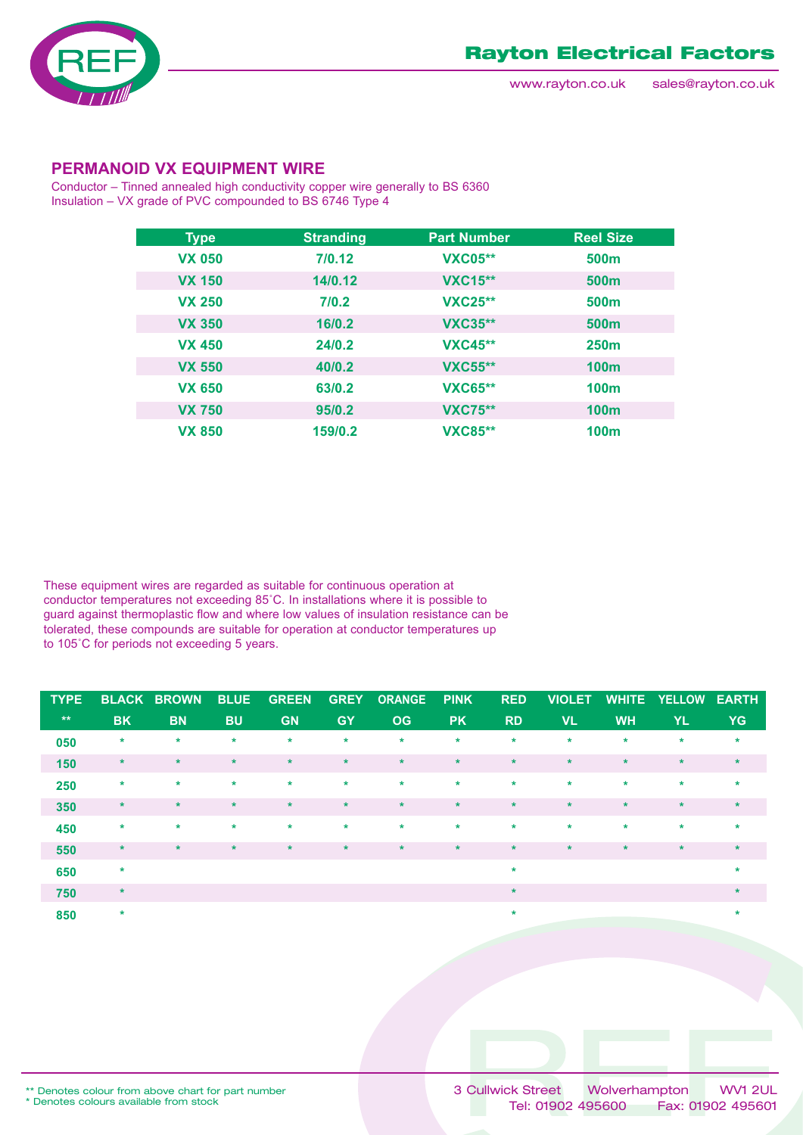

### **PERMANOID VX EQUIPMENT WIRE**

Conductor – Tinned annealed high conductivity copper wire generally to BS 6360 Insulation – VX grade of PVC compounded to BS 6746 Type 4

| <b>Type</b>   | <b>Stranding</b> | <b>Part Number</b> | <b>Reel Size</b> |
|---------------|------------------|--------------------|------------------|
| <b>VX 050</b> | 7/0.12           | <b>VXC05**</b>     | 500 <sub>m</sub> |
| <b>VX 150</b> | 14/0.12          | <b>VXC15**</b>     | 500 <sub>m</sub> |
| <b>VX 250</b> | 7/0.2            | <b>VXC25**</b>     | 500 <sub>m</sub> |
| <b>VX 350</b> | 16/0.2           | <b>VXC35**</b>     | 500 <sub>m</sub> |
| <b>VX 450</b> | 24/0.2           | <b>VXC45**</b>     | <b>250m</b>      |
| <b>VX 550</b> | 40/0.2           | <b>VXC55**</b>     | <b>100m</b>      |
| <b>VX 650</b> | 63/0.2           | <b>VXC65**</b>     | 100 <sub>m</sub> |
| <b>VX 750</b> | 95/0.2           | <b>VXC75**</b>     | 100 <sub>m</sub> |
| <b>VX 850</b> | 159/0.2          | <b>VXC85**</b>     | 100 <sub>m</sub> |

These equipment wires are regarded as suitable for continuous operation at conductor temperatures not exceeding 85˚C. In installations where it is possible to guard against thermoplastic flow and where low values of insulation resistance can be tolerated, these compounds are suitable for operation at conductor temperatures up to 105˚C for periods not exceeding 5 years.

| <b>TYPE</b>  |           | <b>BLACK BROWN</b> | <b>BLUE</b> | <b>GREEN</b> | <b>GREY</b> | <b>ORANGE</b> | <b>PINK</b> | <b>RED</b> | <b>VIOLET</b> | <b>WHITE</b> | <b>YELLOW</b> | <b>EARTH</b> |
|--------------|-----------|--------------------|-------------|--------------|-------------|---------------|-------------|------------|---------------|--------------|---------------|--------------|
| $\star\star$ | <b>BK</b> | <b>BN</b>          | <b>BU</b>   | <b>GN</b>    | <b>GY</b>   | <b>OG</b>     | <b>PK</b>   | <b>RD</b>  | <b>VL</b>     | <b>WH</b>    | YL.           | <b>YG</b>    |
| 050          | $\star$   | $\star$            | $\star$     | $\star$      | $\star$     | $\star$       | $\star$     | $\star$    | $\star$       | $\ast$       | $\star$       | $\star$      |
| 150          | $\star$   | $\star$            | $\star$     | $\star$      | $\star$     | $\star$       | $\star$     | $\star$    | $\star$       | $\star$      | $\star$       | $\star$      |
| 250          | $\star$   | $\star$            | $\star$     | $\star$      | $\star$     | $\star$       | $\star$     | $\star$    | $\star$       | $\star$      | $\star$       | $\star$      |
| 350          | $\star$   | $\star$            | $\ast$      | $\star$      | $\star$     | $\star$       | $\star$     | $\star$    | $\star$       | $\star$      | $\star$       | $\star$      |
| 450          | $\star$   | $\star$            | $\star$     | $\star$      | $\star$     | $\star$       | $\star$     | $\star$    | $\star$       | $\star$      | $\star$       | $\star$      |
| 550          | $\star$   | $\star$            | $\star$     | $\star$      | $\star$     | $\star$       | $\star$     | $\star$    | $\star$       | $\star$      | $\star$       | $\star$      |
| 650          | $\star$   |                    |             |              |             |               |             | $\star$    |               |              |               | $\star$      |
| 750          | $\star$   |                    |             |              |             |               |             | $\ast$     |               |              |               | $\ast$       |
| 850          | $\star$   |                    |             |              |             |               |             | $\ast$     |               |              |               | $\ast$       |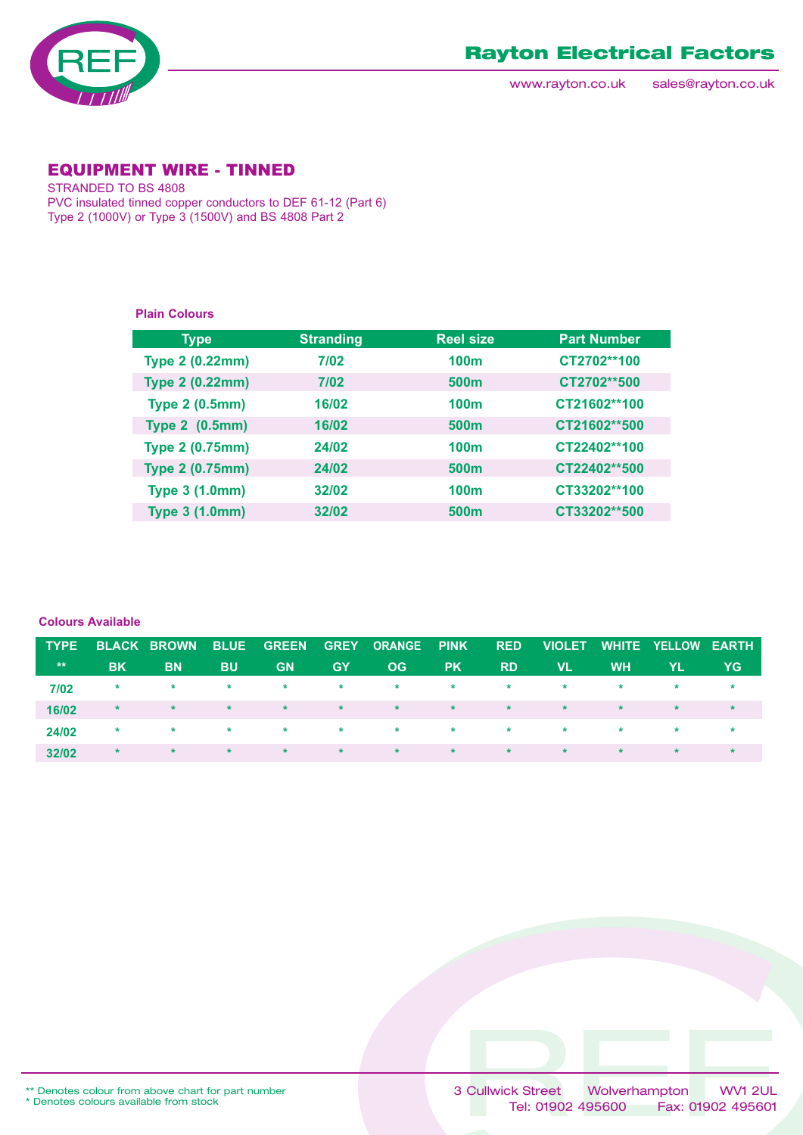

www.rayton.co.uk sales@rayton.co.uk

### EQUIPMENT WIRE - TINNED

STRANDED TO BS 4808 PVC insulated tinned copper conductors to DEF 61-12 (Part 6) Type 2 (1000V) or Type 3 (1500V) and BS 4808 Part 2

#### **Plain Colours**

| <b>Type</b>            | <b>Stranding</b> | <b>Reel size</b> | <b>Part Number</b> |
|------------------------|------------------|------------------|--------------------|
| <b>Type 2 (0.22mm)</b> | 7/02             | 100 <sub>m</sub> | CT2702**100        |
| <b>Type 2 (0.22mm)</b> | 7/02             | 500 <sub>m</sub> | CT2702**500        |
| <b>Type 2 (0.5mm)</b>  | 16/02            | <b>100m</b>      | CT21602**100       |
| <b>Type 2 (0.5mm)</b>  | 16/02            | 500 <sub>m</sub> | CT21602**500       |
| <b>Type 2 (0.75mm)</b> | 24/02            | <b>100m</b>      | CT22402**100       |
| <b>Type 2 (0.75mm)</b> | 24/02            | 500 <sub>m</sub> | CT22402**500       |
| <b>Type 3 (1.0mm)</b>  | 32/02            | <b>100m</b>      | CT33202**100       |
| <b>Type 3 (1.0mm)</b>  | 32/02            | 500 <sub>m</sub> | CT33202**500       |

#### **Colours Available**

| <b>TYPE</b>  |           | <b>BLACK BROWN</b> | <b>BLUE</b> |                       |                              | GREEN GREY ORANGE PINK RED |                                                                                                                                                                                                                                      |                 | <b>VIOLET</b> |           | WHITE YELLOW EARTH |     |
|--------------|-----------|--------------------|-------------|-----------------------|------------------------------|----------------------------|--------------------------------------------------------------------------------------------------------------------------------------------------------------------------------------------------------------------------------------|-----------------|---------------|-----------|--------------------|-----|
| $\star\star$ | <b>BK</b> | <b>BN</b>          | <b>BU</b>   | <b>GN</b>             | <b>GY</b>                    | OG.                        | <b>PK</b>                                                                                                                                                                                                                            | <b>RD</b>       | VL.           | <b>WH</b> | YL.                | YG. |
| 7/02         | $\star$   | $\star$            | $\star$     | $\star$ .             | $\star$                      | $\star$                    | <b>State Street</b>                                                                                                                                                                                                                  | $\star$         | $\star$       | $\star$   | $\star$            |     |
| 16/02        | $\star$   | $\star$            | $\star$     | $\star$               | $\star$ . The set of $\star$ | $\star$                    | <b>The Contract of the Contract of the Contract of the Contract of the Contract of the Contract of the Contract of the Contract of the Contract of the Contract of the Contract of the Contract of the Contract of the Contract </b> | <b>Research</b> | $\star$       | $\star$   | $\star$            |     |
| 24/02        | $\star$   | $\star$            | $\star$     | <b>Report Follows</b> |                              | $\star$ $\star$            | <b>State Street</b>                                                                                                                                                                                                                  | <b>Research</b> | $\star$       | $\star$   | $\star$            |     |
| 32/02        | $*$       | $\star$            | $\star$     | $\star$               | $\star$ .                    | $\star$                    | $\star$                                                                                                                                                                                                                              | $\star$         | $\star$       | $\star$   | $\star$            |     |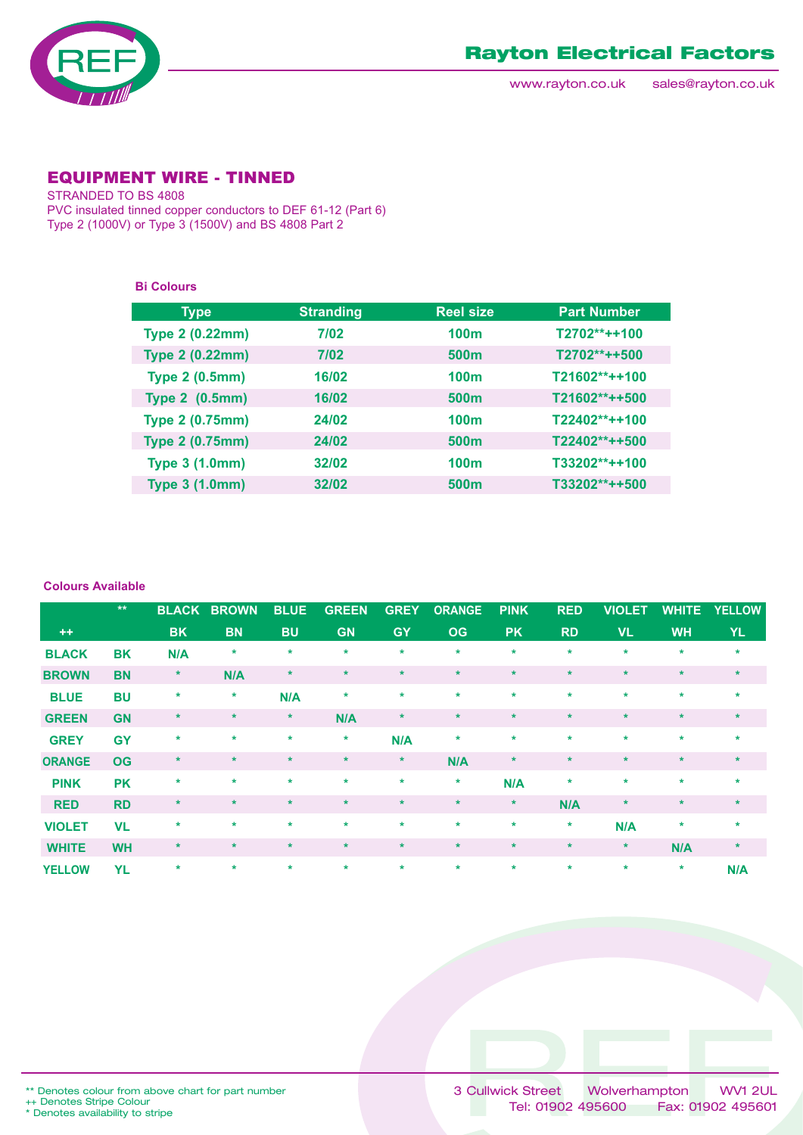

www.rayton.co.uk sales@rayton.co.uk

### EQUIPMENT WIRE - TINNED

STRANDED TO BS 4808 PVC insulated tinned copper conductors to DEF 61-12 (Part 6) Type 2 (1000V) or Type 3 (1500V) and BS 4808 Part 2

**Bi Colours**

| <b>Type</b>            | <b>Stranding</b> | <b>Reel size</b> | <b>Part Number</b> |
|------------------------|------------------|------------------|--------------------|
| <b>Type 2 (0.22mm)</b> | 7/02             | 100 <sub>m</sub> | T2702**++100       |
| <b>Type 2 (0.22mm)</b> | 7/02             | 500 <sub>m</sub> | T2702**++500       |
| <b>Type 2 (0.5mm)</b>  | 16/02            | 100 <sub>m</sub> | T21602**++100      |
| <b>Type 2 (0.5mm)</b>  | 16/02            | 500 <sub>m</sub> | T21602**++500      |
| <b>Type 2 (0.75mm)</b> | 24/02            | 100 <sub>m</sub> | T22402**++100      |
| <b>Type 2 (0.75mm)</b> | 24/02            | 500 <sub>m</sub> | T22402**++500      |
| <b>Type 3 (1.0mm)</b>  | 32/02            | 100 <sub>m</sub> | $T33202***+100$    |
| <b>Type 3 (1.0mm)</b>  | 32/02            | 500 <sub>m</sub> | T33202**++500      |

#### **Colours Available**

|               | $\star\star$ | <b>BLACK</b> | <b>BROWN</b> | <b>BLUE</b> | <b>GREEN</b> | <b>GREY</b> | <b>ORANGE</b> | <b>PINK</b> | <b>RED</b> | <b>VIOLET</b> | <b>WHITE</b> | <b>YELLOW</b> |
|---------------|--------------|--------------|--------------|-------------|--------------|-------------|---------------|-------------|------------|---------------|--------------|---------------|
| $++$          |              | <b>BK</b>    | <b>BN</b>    | <b>BU</b>   | <b>GN</b>    | <b>GY</b>   | <b>OG</b>     | <b>PK</b>   | <b>RD</b>  | <b>VL</b>     | <b>WH</b>    | YL.           |
| <b>BLACK</b>  | BK           | N/A          | *            | $\ast$      | $\star$      | $\star$     | $\ast$        | $\ast$      | $\star$    | $\ast$        | $\ast$       | $\ast$        |
| <b>BROWN</b>  | <b>BN</b>    | $\ast$       | N/A          | $\star$     | $\star$      | $\star$     | $\star$       | $\star$     | $\star$    | $\star$       | $\star$      | $\star$       |
| <b>BLUE</b>   | <b>BU</b>    | $\ast$       | $\star$      | N/A         | $\star$      | $\star$     | $\star$       | $\star$     | $\star$    | $\star$       | $\star$      | $\star$       |
| <b>GREEN</b>  | <b>GN</b>    | $\ast$       | $\star$      | $\star$     | N/A          | $\ast$      | $\star$       | $\star$     | $\star$    | $\star$       | $\star$      | $\star$       |
| <b>GREY</b>   | <b>GY</b>    | $\ast$       | $\star$      | $\star$     | $\star$      | N/A         | $\ast$        | $\star$     | $\star$    | $\star$       | $\star$      | $\star$       |
| <b>ORANGE</b> | <b>OG</b>    | $\star$      | $\ast$       | $\star$     | $\star$      | $\star$     | N/A           | $\ast$      | $\star$    | $\star$       | $\star$      | $\ast$        |
| <b>PINK</b>   | <b>PK</b>    | $\ast$       | $\star$      | $\star$     | $\star$      | $\star$     | $\star$       | N/A         | $\star$    | $\star$       | $\star$      | $\star$       |
| <b>RED</b>    | <b>RD</b>    | $\star$      | $\star$      | $\star$     | $\star$      | $\star$     | $\star$       | $\star$     | N/A        | $\star$       | $\star$      | $\star$       |
| <b>VIOLET</b> | <b>VL</b>    | $\star$      | $\star$      | $\star$     | $\star$      | $\star$     | $\star$       | $\star$     | $\star$    | N/A           | $\ast$       | $\star$       |
| <b>WHITE</b>  | <b>WH</b>    | $\ast$       | $\star$      | $\star$     | $\star$      | $\star$     | $\star$       | $\star$     | $\star$    | $\star$       | N/A          | $\star$       |
| <b>YELLOW</b> | <b>YL</b>    | $\star$      | $\star$      | $\star$     | $\star$      | $\star$     | $\star$       | $\star$     | $\star$    | $\star$       | $\ast$       | N/A           |

++ Denotes Stripe Colour \* Denotes availability to stripe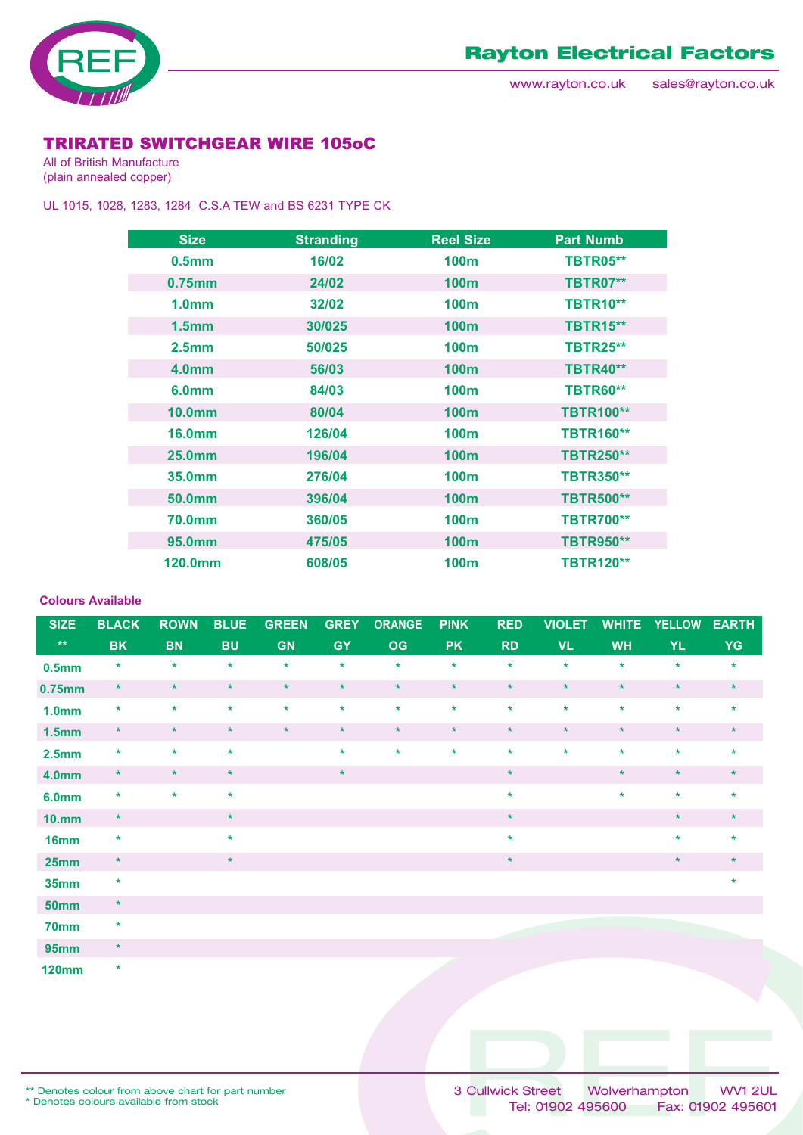

## TRIRATED SWITCHGEAR WIRE 105oC

All of British Manufacture (plain annealed copper)

UL 1015, 1028, 1283, 1284 C.S.A TEW and BS 6231 TYPE CK

| <b>Size</b>        | <b>Stranding</b> | <b>Reel Size</b> | <b>Part Numb</b> |
|--------------------|------------------|------------------|------------------|
| 0.5 <sub>mm</sub>  | 16/02            | 100 <sub>m</sub> | <b>TBTR05**</b>  |
| $0.75$ mm          | 24/02            | <b>100m</b>      | <b>TBTR07**</b>  |
| 1.0 <sub>mm</sub>  | 32/02            | <b>100m</b>      | <b>TBTR10**</b>  |
| 1.5 <sub>mm</sub>  | 30/025           | 100 <sub>m</sub> | <b>TBTR15**</b>  |
| 2.5 <sub>mm</sub>  | 50/025           | <b>100m</b>      | <b>TBTR25**</b>  |
| <b>4.0mm</b>       | 56/03            | <b>100m</b>      | <b>TBTR40**</b>  |
| 6.0 <sub>mm</sub>  | 84/03            | <b>100m</b>      | <b>TBTR60**</b>  |
| 10.0 <sub>mm</sub> | 80/04            | <b>100m</b>      | <b>TBTR100**</b> |
| <b>16.0mm</b>      | 126/04           | <b>100m</b>      | <b>TBTR160**</b> |
| <b>25.0mm</b>      | 196/04           | <b>100m</b>      | <b>TBTR250**</b> |
| 35.0mm             | 276/04           | <b>100m</b>      | <b>TBTR350**</b> |
| 50.0mm             | 396/04           | <b>100m</b>      | <b>TBTR500**</b> |
| <b>70.0mm</b>      | 360/05           | 100 <sub>m</sub> | <b>TBTR700**</b> |
| 95.0mm             | 475/05           | <b>100m</b>      | <b>TBTR950**</b> |
| 120.0mm            | 608/05           | 100 <sub>m</sub> | <b>TBTR120**</b> |

#### **Colours Available**

| <b>SIZE</b>       | <b>BLACK</b> | <b>ROWN</b> | <b>BLUE</b> | <b>GREEN</b> | <b>GREY</b> | <b>ORANGE</b> | <b>PINK</b> | <b>RED</b> | <b>VIOLET</b> | <b>WHITE</b> | <b>YELLOW</b> | <b>EARTH</b> |
|-------------------|--------------|-------------|-------------|--------------|-------------|---------------|-------------|------------|---------------|--------------|---------------|--------------|
| $\star\star$      | <b>BK</b>    | <b>BN</b>   | <b>BU</b>   | <b>GN</b>    | <b>GY</b>   | <b>OG</b>     | <b>PK</b>   | <b>RD</b>  | <b>VL</b>     | <b>WH</b>    | YL.           | <b>YG</b>    |
| 0.5 <sub>mm</sub> | $\star$      | $\star$     | $\star$     | $\star$      | $\star$     | $\star$       | $\star$     | $\star$    | $\star$       | $\star$      | $\star$       | $\star$      |
| 0.75mm            | $\star$      | $\star$     | $\star$     | $\star$      | $\star$     | $\star$       | $\star$     | $\star$    | $\star$       | $\star$      | $\star$       | $\star$      |
| 1.0 <sub>mm</sub> | $\star$      | $\star$     | $\star$     | $\star$      | $\star$     | $\star$       | $\star$     | $\star$    | $\star$       | $\star$      | $\star$       | $\star$      |
| 1.5 <sub>mm</sub> | $\star$      | $\star$     | $\star$     | $\star$      | $\star$     | $\star$       | $\star$     | $\star$    | $\star$       | $\star$      | $\star$       | $\star$      |
| 2.5 <sub>mm</sub> | $\star$      | $\star$     | $\star$     |              | $\star$     | $\star$       | $\star$     | $\star$    | $\star$       | $\star$      | $\star$       | $\star$      |
| <b>4.0mm</b>      | $\star$      | $\star$     | $\star$     |              | $\star$     |               |             | $\star$    |               | $\star$      | $\star$       | $\star$      |
| <b>6.0mm</b>      | $\star$      | $\star$     | $\star$     |              |             |               |             | $\star$    |               | $\star$      | $\star$       | $\star$      |
| <b>10.mm</b>      | $\star$      |             | $\star$     |              |             |               |             | $\star$    |               |              | $\star$       | $\star$      |
| 16 <sub>mm</sub>  | $\star$      |             | $\star$     |              |             |               |             | $\star$    |               |              | $\star$       | $\star$      |
| 25mm              | $\star$      |             | $\star$     |              |             |               |             | $\star$    |               |              | $\star$       | $\star$      |
| <b>35mm</b>       | $\star$      |             |             |              |             |               |             |            |               |              |               | $\ast$       |
| <b>50mm</b>       | $\star$      |             |             |              |             |               |             |            |               |              |               |              |
| 70mm              | $\star$      |             |             |              |             |               |             |            |               |              |               |              |
| <b>95mm</b>       | $\star$      |             |             |              |             |               |             |            |               |              |               |              |

**120mm**

**\***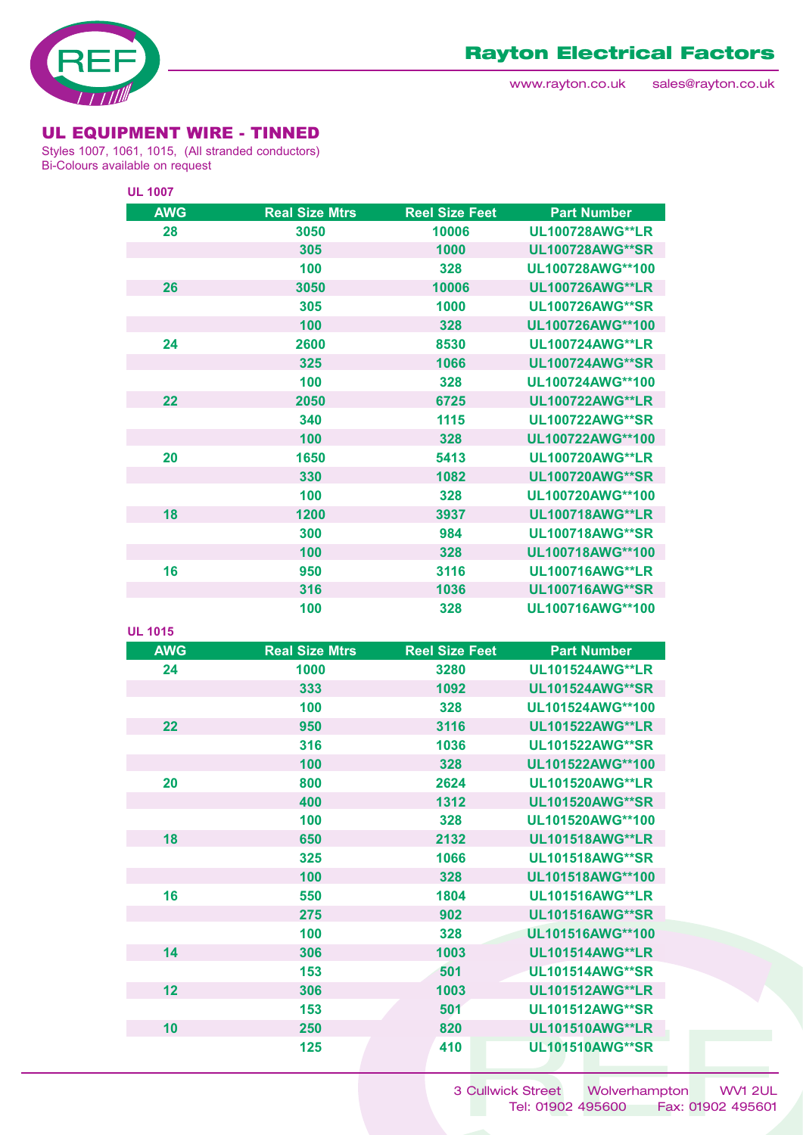

### UL EQUIPMENT WIRE - TINNED

Styles 1007, 1061, 1015, (All stranded conductors) Bi-Colours available on request

| <b>UL 1007</b> |                       |                       |                        |
|----------------|-----------------------|-----------------------|------------------------|
| <b>AWG</b>     | <b>Real Size Mtrs</b> | <b>Reel Size Feet</b> | <b>Part Number</b>     |
| 28             | 3050                  | 10006                 | <b>UL100728AWG**LR</b> |
|                | 305                   | 1000                  | <b>UL100728AWG**SR</b> |
|                | 100                   | 328                   | UL100728AWG**100       |
| 26             | 3050                  | 10006                 | <b>UL100726AWG**LR</b> |
|                | 305                   | 1000                  | <b>UL100726AWG**SR</b> |
|                | 100                   | 328                   | UL100726AWG**100       |
| 24             | 2600                  | 8530                  | <b>UL100724AWG**LR</b> |
|                | 325                   | 1066                  | <b>UL100724AWG**SR</b> |
|                | 100                   | 328                   | UL100724AWG**100       |
| 22             | 2050                  | 6725                  | <b>UL100722AWG**LR</b> |
|                | 340                   | 1115                  | <b>UL100722AWG**SR</b> |
|                | 100                   | 328                   | UL100722AWG**100       |
| 20             | 1650                  | 5413                  | <b>UL100720AWG**LR</b> |
|                | 330                   | 1082                  | <b>UL100720AWG**SR</b> |
|                | 100                   | 328                   | UL100720AWG**100       |
| 18             | 1200                  | 3937                  | <b>UL100718AWG**LR</b> |
|                | 300                   | 984                   | <b>UL100718AWG**SR</b> |
|                | 100                   | 328                   | UL100718AWG**100       |
| 16             | 950                   | 3116                  | <b>UL100716AWG**LR</b> |
|                | 316                   | 1036                  | <b>UL100716AWG**SR</b> |
|                | 100                   | 328                   | UL100716AWG**100       |

| <b>AWG</b> | <b>Real Size Mtrs</b> | <b>Reel Size Feet</b> | <b>Part Number</b>     |
|------------|-----------------------|-----------------------|------------------------|
| 24         | 1000                  | 3280                  | <b>UL101524AWG**LR</b> |
|            | 333                   | 1092                  | <b>UL101524AWG**SR</b> |
|            | 100                   | 328                   | UL101524AWG**100       |
| 22         | 950                   | 3116                  | <b>UL101522AWG**LR</b> |
|            | 316                   | 1036                  | <b>UL101522AWG**SR</b> |
|            | 100                   | 328                   | UL101522AWG**100       |
| 20         | 800                   | 2624                  | <b>UL101520AWG**LR</b> |
|            | 400                   | 1312                  | <b>UL101520AWG**SR</b> |
|            | 100                   | 328                   | UL101520AWG**100       |
| 18         | 650                   | 2132                  | <b>UL101518AWG**LR</b> |
|            | 325                   | 1066                  | <b>UL101518AWG**SR</b> |
|            | 100                   | 328                   | UL101518AWG**100       |
| 16         | 550                   | 1804                  | <b>UL101516AWG**LR</b> |
|            | 275                   | 902                   | <b>UL101516AWG**SR</b> |
|            | 100                   | 328                   | UL101516AWG**100       |
| 14         | 306                   | 1003                  | <b>UL101514AWG**LR</b> |
|            | 153                   | 501                   | <b>UL101514AWG**SR</b> |
| 12         | 306                   | 1003                  | <b>UL101512AWG**LR</b> |
|            | 153                   | 501                   | <b>UL101512AWG**SR</b> |
| 10         | 250                   | 820                   | <b>UL101510AWG**LR</b> |
|            | 125                   | 410                   | <b>UL101510AWG**SR</b> |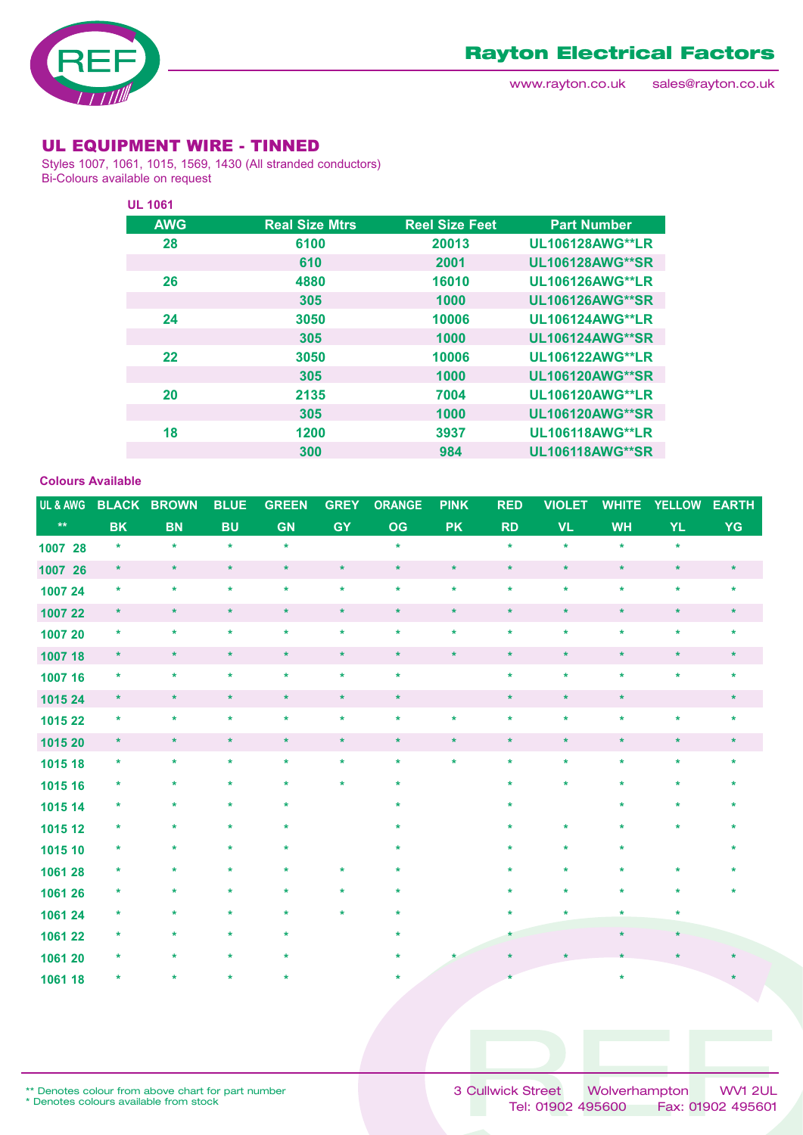

### UL EQUIPMENT WIRE - TINNED

Styles 1007, 1061, 1015, 1569, 1430 (All stranded conductors) Bi-Colours available on request

| <b>UL 1061</b> |                       |                       |                        |
|----------------|-----------------------|-----------------------|------------------------|
| <b>AWG</b>     | <b>Real Size Mtrs</b> | <b>Reel Size Feet</b> | <b>Part Number</b>     |
| 28             | 6100                  | 20013                 | <b>UL106128AWG**LR</b> |
|                | 610                   | 2001                  | <b>UL106128AWG**SR</b> |
| 26             | 4880                  | 16010                 | <b>UL106126AWG**LR</b> |
|                | 305                   | 1000                  | <b>UL106126AWG**SR</b> |
| 24             | 3050                  | 10006                 | <b>UL106124AWG**LR</b> |
|                | 305                   | 1000                  | <b>UL106124AWG**SR</b> |
| 22             | 3050                  | 10006                 | <b>UL106122AWG**LR</b> |
|                | 305                   | 1000                  | <b>UL106120AWG**SR</b> |
| 20             | 2135                  | 7004                  | <b>UL106120AWG**LR</b> |
|                | 305                   | 1000                  | <b>UL106120AWG**SR</b> |
| 18             | 1200                  | 3937                  | <b>UL106118AWG**LR</b> |
|                | 300                   | 984                   | <b>UL106118AWG**SR</b> |

#### **Colours Available**

| UL & AWG     |           | <b>BLACK BROWN</b> | <b>BLUE</b> | <b>GREEN</b> | <b>GREY</b> | <b>ORANGE</b> | <b>PINK</b> | <b>RED</b> | <b>VIOLET</b> | <b>WHITE</b> | <b>YELLOW</b> | <b>EARTH</b> |
|--------------|-----------|--------------------|-------------|--------------|-------------|---------------|-------------|------------|---------------|--------------|---------------|--------------|
| $\star\star$ | <b>BK</b> | <b>BN</b>          | <b>BU</b>   | <b>GN</b>    | <b>GY</b>   | OG            | <b>PK</b>   | <b>RD</b>  | <b>VL</b>     | <b>WH</b>    | <b>YL</b>     | YG           |
| 1007 28      | $\star$   | $\star$            | $\star$     | $\star$      |             | $\star$       |             | $\star$    | $\star$       | $\star$      | $\star$       |              |
| 1007 26      | $\star$   | $\star$            | $\star$     | $\star$      | $\star$     | $\star$       | $\star$     | $\star$    | $\star$       | $\star$      | $\star$       | $\star$      |
| 1007 24      | $\star$   | $\star$            | $\star$     | $\star$      | $\star$     | $\star$       | $\star$     | $\star$    | $\star$       | $\star$      | $\star$       | $\star$      |
| 1007 22      | $\star$   | $\star$            | $\star$     | $\star$      | $\star$     | $\star$       | $\star$     | $\star$    | $\star$       | $\star$      | $\star$       | $\star$      |
| 1007 20      | $\star$   | $\star$            | $\star$     | $\star$      | $\star$     | $\star$       | $\star$     | $\star$    | $\star$       | $\star$      | $\star$       | $\star$      |
| 1007 18      | $\star$   | $\star$            | $\star$     | $\star$      | $\star$     | $\star$       | $\star$     | $\star$    | $\star$       | $\star$      | $\star$       | $\star$      |
| 1007 16      | $\star$   | $\ast$             | $\star$     | $\star$      | $\star$     | $\star$       |             | $\star$    | $\star$       | $\star$      | $\star$       | $\star$      |
| 1015 24      | $\ast$    | $\star$            | $\star$     | $\star$      | $\star$     | $\star$       |             | $\star$    | $\star$       | $\star$      |               | $\star$      |
| 1015 22      | $\star$   | $\star$            | $\star$     | $\star$      | $\star$     | $\ast$        | $\star$     | $\star$    | $\star$       | $\star$      | $\star$       | $\ast$       |
| 1015 20      | $\star$   | $\star$            | $\star$     | $\star$      | $\star$     | $\star$       | $\ast$      | $\star$    | $\star$       | $\star$      | $\star$       | $\star$      |
| 1015 18      | $\star$   | $\star$            | $\star$     | $\star$      | $\star$     | $\star$       | $\star$     | $\star$    | $\star$       | $\star$      | $\star$       | $\star$      |
| 1015 16      | $\ast$    | *                  | *           | $\star$      | $\star$     | $\ast$        |             | ÷          | $\star$       | $\star$      |               |              |
| 1015 14      | *         | $\star$            |             | $\star$      |             | $\star$       |             |            |               | $\star$      |               |              |
| 1015 12      | $\ast$    | $\ast$             | *           | $\ast$       |             | $\ast$        |             |            | $\ast$        | $\ast$       |               |              |
| 1015 10      | *         | $\ast$             |             | *            |             | $\ast$        |             |            | $\ast$        | $\ast$       |               |              |
| 1061 28      | *         | $\ast$             | *           | $\ast$       | $\star$     | $\star$       |             |            | $\ast$        | $\ast$       |               |              |
| 1061 26      | *         | $\ast$             | $\star$     | $\ast$       | $\star$     | $\ast$        |             |            | $\ast$        | $\star$      |               |              |
| 1061 24      | *         | *                  | $\ast$      | $\star$      | $\star$     | $\star$       |             |            | $\star$       | $\star$      | $\ast$        |              |
| 1061 22      | *         | $\ast$             | $\star$     | $\ast$       |             | $\star$       |             | $\star$    |               | $\ast$       | $\star$       |              |
| 1061 20      | $\ast$    |                    |             | $\star$      |             |               |             |            |               |              |               |              |
| 1061 18      | $\ast$    |                    |             |              |             | ÷             |             |            |               | $\star$      |               |              |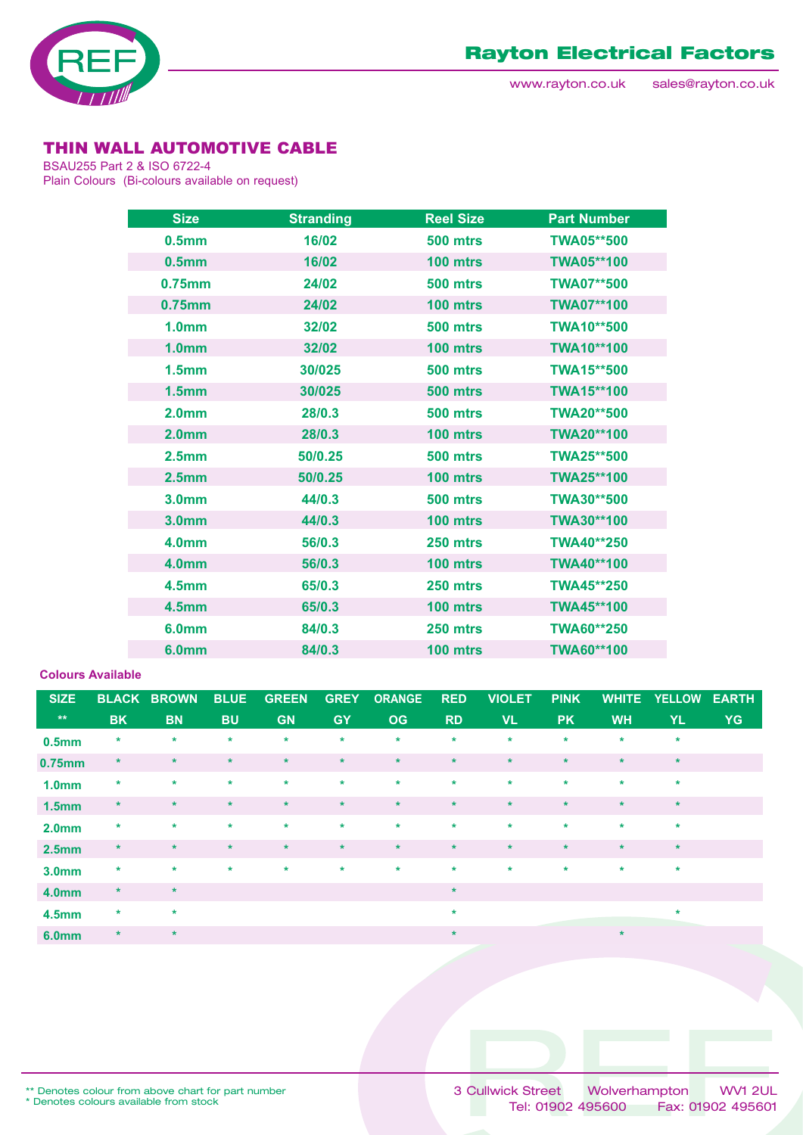

# THIN WALL AUTOMOTIVE CABLE

BSAU255 Part 2 & ISO 6722-4 Plain Colours (Bi-colours available on request)

| <b>Size</b>       | <b>Stranding</b> | <b>Reel Size</b> | <b>Part Number</b> |
|-------------------|------------------|------------------|--------------------|
| 0.5 <sub>mm</sub> | 16/02            | <b>500 mtrs</b>  | <b>TWA05**500</b>  |
| 0.5 <sub>mm</sub> | 16/02            | 100 mtrs         | <b>TWA05**100</b>  |
| 0.75mm            | 24/02            | <b>500 mtrs</b>  | <b>TWA07**500</b>  |
| $0.75$ mm         | 24/02            | 100 mtrs         | <b>TWA07**100</b>  |
| 1.0 <sub>mm</sub> | 32/02            | <b>500 mtrs</b>  | <b>TWA10**500</b>  |
| 1.0 <sub>mm</sub> | 32/02            | 100 mtrs         | <b>TWA10**100</b>  |
| 1.5 <sub>mm</sub> | 30/025           | <b>500 mtrs</b>  | <b>TWA15**500</b>  |
| 1.5 <sub>mm</sub> | 30/025           | <b>500 mtrs</b>  | <b>TWA15**100</b>  |
| 2.0 <sub>mm</sub> | 28/0.3           | <b>500 mtrs</b>  | <b>TWA20**500</b>  |
| 2.0 <sub>mm</sub> | 28/0.3           | 100 mtrs         | <b>TWA20**100</b>  |
| 2.5 <sub>mm</sub> | 50/0.25          | <b>500 mtrs</b>  | <b>TWA25**500</b>  |
| 2.5 <sub>mm</sub> | 50/0.25          | 100 mtrs         | <b>TWA25**100</b>  |
| 3.0 <sub>mm</sub> | 44/0.3           | <b>500 mtrs</b>  | TWA30**500         |
| 3.0 <sub>mm</sub> | 44/0.3           | 100 mtrs         | TWA30**100         |
| 4.0 <sub>mm</sub> | 56/0.3           | 250 mtrs         | <b>TWA40**250</b>  |
| 4.0 <sub>mm</sub> | 56/0.3           | 100 mtrs         | <b>TWA40**100</b>  |
| 4.5 <sub>mm</sub> | 65/0.3           | 250 mtrs         | TWA45**250         |
| <b>4.5mm</b>      | 65/0.3           | 100 mtrs         | <b>TWA45**100</b>  |
| 6.0 <sub>mm</sub> | 84/0.3           | 250 mtrs         | TWA60**250         |
| 6.0 <sub>mm</sub> | 84/0.3           | 100 mtrs         | TWA60**100         |

#### **Colours Available**

| <b>SIZE</b>       |           | <b>BLACK BROWN</b> | <b>BLUE</b> | <b>GREEN</b> | <b>GREY</b> | <b>ORANGE</b> | <b>RED</b> | <b>VIOLET</b> | <b>PINK</b> | <b>WHITE</b> | <b>YELLOW</b> | <b>EARTH</b> |
|-------------------|-----------|--------------------|-------------|--------------|-------------|---------------|------------|---------------|-------------|--------------|---------------|--------------|
| $\star\star$      | <b>BK</b> | <b>BN</b>          | <b>BU</b>   | <b>GN</b>    | <b>GY</b>   | <b>OG</b>     | <b>RD</b>  | <b>VL</b>     | <b>PK</b>   | <b>WH</b>    | <b>YL</b>     | <b>YG</b>    |
| 0.5 <sub>mm</sub> | $\ast$    | $\ast$             | $\star$     | $\star$      | $\star$     | $\star$       | $\star$    | $\star$       | $\ast$      | $\ast$       | $\ast$        |              |
| 0.75mm            | $\ast$    | $\star$            | $\star$     | $\star$      | $\star$     | $\star$       | $\star$    | $\star$       | $\star$     | $\star$      | $\star$       |              |
| 1.0 <sub>mm</sub> | $\star$   | $\star$            | $\star$     | $\star$      | $\star$     | $\star$       | $\star$    | $\star$       | $\star$     | $\star$      | $\star$       |              |
| 1.5 <sub>mm</sub> | $\star$   | $\ast$             | $\star$     | $\star$      | $\star$     | $\star$       | $\star$    | $\star$       | $\star$     | $\star$      | $\star$       |              |
| 2.0 <sub>mm</sub> | $\star$   | $\star$            | $\star$     | $\star$      | $\star$     | $\star$       | $\star$    | $\star$       | $\star$     | $\star$      | $\star$       |              |
| 2.5 <sub>mm</sub> | $\star$   | $\ast$             | $\star$     | $\star$      | $\star$     | $\star$       | $\star$    | $\star$       | $\star$     | $\star$      | $\star$       |              |
| 3.0mm             | $\ast$    | $\star$            | $\star$     | $\star$      | $\star$     | $\star$       | $\star$    | $\star$       | $\star$     | $\star$      | $\star$       |              |
| <b>4.0mm</b>      | $\star$   | $\star$            |             |              |             |               | $\star$    |               |             |              |               |              |
| 4.5 <sub>mm</sub> | $\star$   | $\star$            |             |              |             |               | $\star$    |               |             |              | $\star$       |              |
| <b>6.0mm</b>      | $\star$   | $\star$            |             |              |             |               | $\star$    |               |             | $\ast$       |               |              |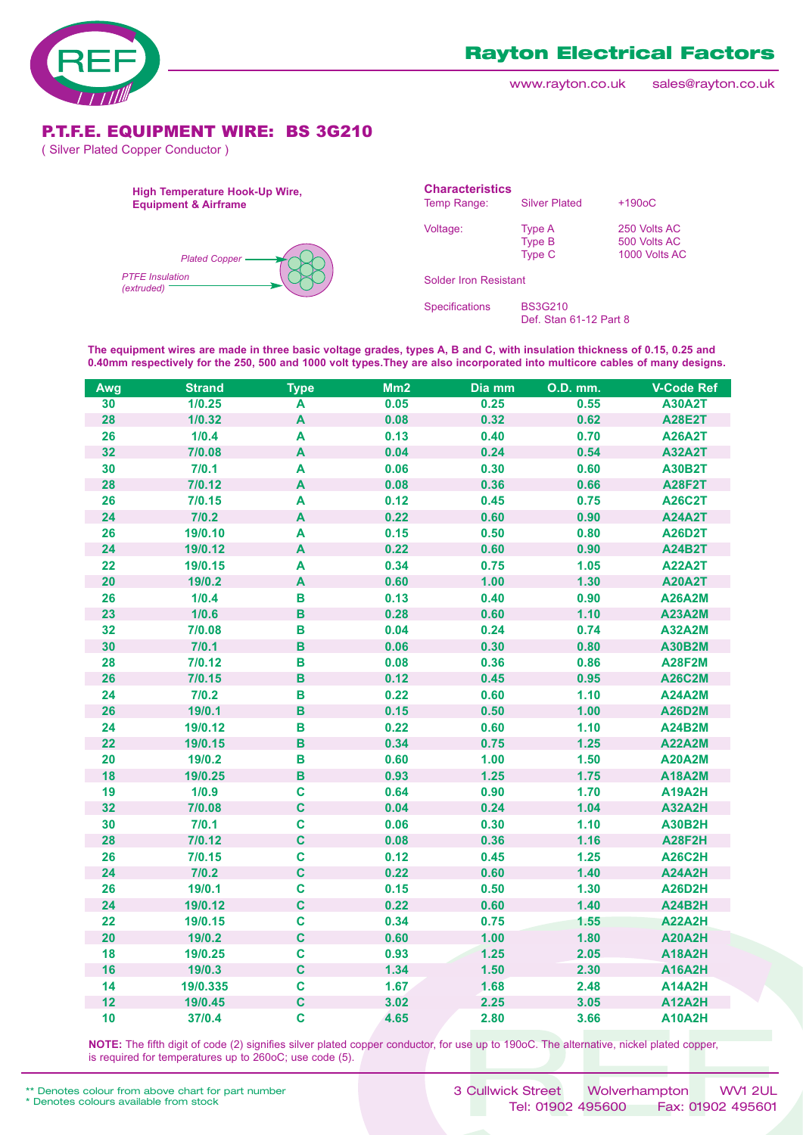

www.rayton.co.uk sales@rayton.co.uk

### P.T.F.E. EQUIPMENT WIRE: BS 3G210

( Silver Plated Copper Conductor )



**The equipment wires are made in three basic voltage grades, types A, B and C, with insulation thickness of 0.15, 0.25 and 0.40mm respectively for the 250, 500 and 1000 volt types.They are also incorporated into multicore cables of many designs.**

| Awg | <b>Strand</b> | <b>Type</b>               | Mm2  | Dia mm | <b>O.D. mm.</b> | <b>V-Code Ref</b> |
|-----|---------------|---------------------------|------|--------|-----------------|-------------------|
| 30  | 1/0.25        | A                         | 0.05 | 0.25   | 0.55            | <b>A30A2T</b>     |
| 28  | 1/0.32        | $\boldsymbol{\mathsf{A}}$ | 0.08 | 0.32   | 0.62            | <b>A28E2T</b>     |
| 26  | 1/0.4         | A                         | 0.13 | 0.40   | 0.70            | <b>A26A2T</b>     |
| 32  | 7/0.08        | $\boldsymbol{\mathsf{A}}$ | 0.04 | 0.24   | 0.54            | <b>A32A2T</b>     |
| 30  | 7/0.1         | A                         | 0.06 | 0.30   | 0.60            | <b>A30B2T</b>     |
| 28  | 7/0.12        | A                         | 0.08 | 0.36   | 0.66            | <b>A28F2T</b>     |
| 26  | 7/0.15        | A                         | 0.12 | 0.45   | 0.75            | <b>A26C2T</b>     |
| 24  | 7/0.2         | $\boldsymbol{\mathsf{A}}$ | 0.22 | 0.60   | 0.90            | <b>A24A2T</b>     |
| 26  | 19/0.10       | $\boldsymbol{\mathsf{A}}$ | 0.15 | 0.50   | 0.80            | <b>A26D2T</b>     |
| 24  | 19/0.12       | $\boldsymbol{\mathsf{A}}$ | 0.22 | 0.60   | 0.90            | <b>A24B2T</b>     |
| 22  | 19/0.15       | A                         | 0.34 | 0.75   | 1.05            | <b>A22A2T</b>     |
| 20  | 19/0.2        | $\boldsymbol{\mathsf{A}}$ | 0.60 | 1.00   | $1.30$          | <b>A20A2T</b>     |
| 26  | 1/0.4         | $\, {\bf B}$              | 0.13 | 0.40   | 0.90            | <b>A26A2M</b>     |
| 23  | 1/0.6         | $\, {\bf B}$              | 0.28 | 0.60   | 1.10            | <b>A23A2M</b>     |
| 32  | 7/0.08        | $\mathbf B$               | 0.04 | 0.24   | 0.74            | <b>A32A2M</b>     |
| 30  | 7/0.1         | $\, {\bf B}$              | 0.06 | 0.30   | 0.80            | <b>A30B2M</b>     |
| 28  | 7/0.12        | В                         | 0.08 | 0.36   | 0.86            | <b>A28F2M</b>     |
| 26  | 7/0.15        | $\, {\bf B}$              | 0.12 | 0.45   | 0.95            | <b>A26C2M</b>     |
| 24  | 7/0.2         | B                         | 0.22 | 0.60   | 1.10            | <b>A24A2M</b>     |
| 26  | 19/0.1        | $\, {\bf B}$              | 0.15 | 0.50   | 1.00            | <b>A26D2M</b>     |
| 24  | 19/0.12       | B                         | 0.22 | 0.60   | 1.10            | <b>A24B2M</b>     |
| 22  | 19/0.15       | $\, {\bf B}$              | 0.34 | 0.75   | $1.25$          | <b>A22A2M</b>     |
| 20  | 19/0.2        | $\mathbf B$               | 0.60 | 1.00   | 1.50            | <b>A20A2M</b>     |
| 18  | 19/0.25       | $\, {\bf B}$              | 0.93 | $1.25$ | 1.75            | <b>A18A2M</b>     |
| 19  | 1/0.9         | $\mathbf c$               | 0.64 | 0.90   | 1.70            | <b>A19A2H</b>     |
| 32  | 7/0.08        | $\mathbf C$               | 0.04 | 0.24   | 1.04            | <b>A32A2H</b>     |
| 30  | 7/0.1         | $\mathbf c$               | 0.06 | 0.30   | 1.10            | <b>A30B2H</b>     |
| 28  | 7/0.12        | $\mathbf c$               | 0.08 | 0.36   | 1.16            | <b>A28F2H</b>     |
| 26  | 7/0.15        | $\mathbf C$               | 0.12 | 0.45   | 1.25            | <b>A26C2H</b>     |
| 24  | 7/0.2         | $\mathbf{C}$              | 0.22 | 0.60   | $1.40$          | <b>A24A2H</b>     |
| 26  | 19/0.1        | $\mathbf c$               | 0.15 | 0.50   | 1.30            | <b>A26D2H</b>     |
| 24  | 19/0.12       | $\mathbf C$               | 0.22 | 0.60   | 1.40            | <b>A24B2H</b>     |
| 22  | 19/0.15       | $\mathbf c$               | 0.34 | 0.75   | 1.55            | <b>A22A2H</b>     |
| 20  | 19/0.2        | $\mathbf c$               | 0.60 | 1.00   | 1.80            | <b>A20A2H</b>     |
| 18  | 19/0.25       | $\mathbf c$               | 0.93 | 1.25   | 2.05            | <b>A18A2H</b>     |
| 16  | 19/0.3        | $\mathbf C$               | 1.34 | 1.50   | 2.30            | <b>A16A2H</b>     |
| 14  | 19/0.335      | $\mathbf C$               | 1.67 | 1.68   | 2.48            | <b>A14A2H</b>     |
| 12  | 19/0.45       | $\mathbf c$               | 3.02 | 2.25   | 3.05            | <b>A12A2H</b>     |
| 10  | 37/0.4        | $\mathbf c$               | 4.65 | 2.80   | 3.66            | <b>A10A2H</b>     |

**NOTE:** The fifth digit of code (2) signifies silver plated copper conductor, for use up to 190oC. The alternative, nickel plated copper, is required for temperatures up to 260oC; use code (5).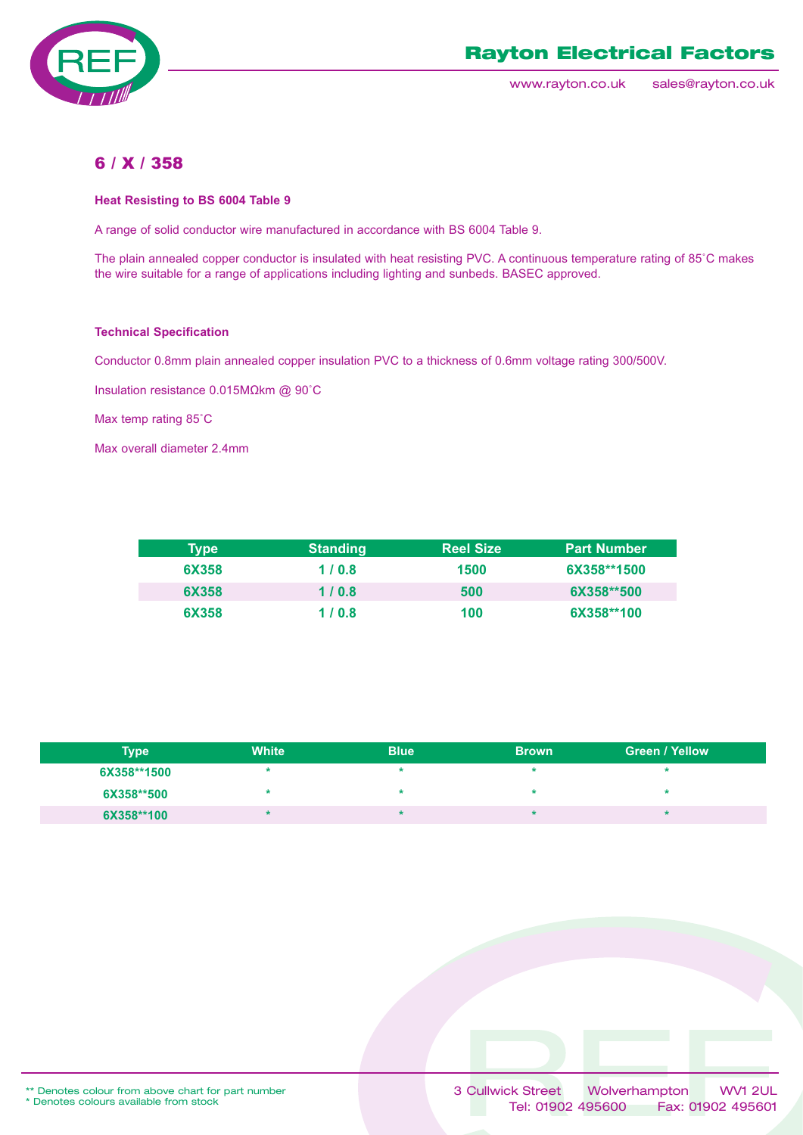

www.rayton.co.uk sales@rayton.co.uk

### 6 / X / 358

#### **Heat Resisting to BS 6004 Table 9**

A range of solid conductor wire manufactured in accordance with BS 6004 Table 9.

The plain annealed copper conductor is insulated with heat resisting PVC. A continuous temperature rating of 85˚C makes the wire suitable for a range of applications including lighting and sunbeds. BASEC approved.

#### **Technical Specification**

Conductor 0.8mm plain annealed copper insulation PVC to a thickness of 0.6mm voltage rating 300/500V.

Insulation resistance 0.015MΩkm @ 90˚C

Max temp rating 85˚C

Max overall diameter 2.4mm

| <b>Type</b> | <b>Standing</b> | <b>Reel Size</b> | <b>Part Number</b> |
|-------------|-----------------|------------------|--------------------|
| 6X358       | 1/0.8           | 1500             | 6X358**1500        |
| 6X358       | 1/0.8           | 500              | 6X358**500         |
| 6X358       | 1/0.8           | 100              | 6X358**100         |

| <b>Type</b> | <b>White</b> | <b>Blue</b> | <b>Brown</b> | <b>Green / Yellow</b> |
|-------------|--------------|-------------|--------------|-----------------------|
| 6X358**1500 |              |             |              |                       |
| 6X358**500  |              |             |              |                       |
| 6X358**100  |              |             |              |                       |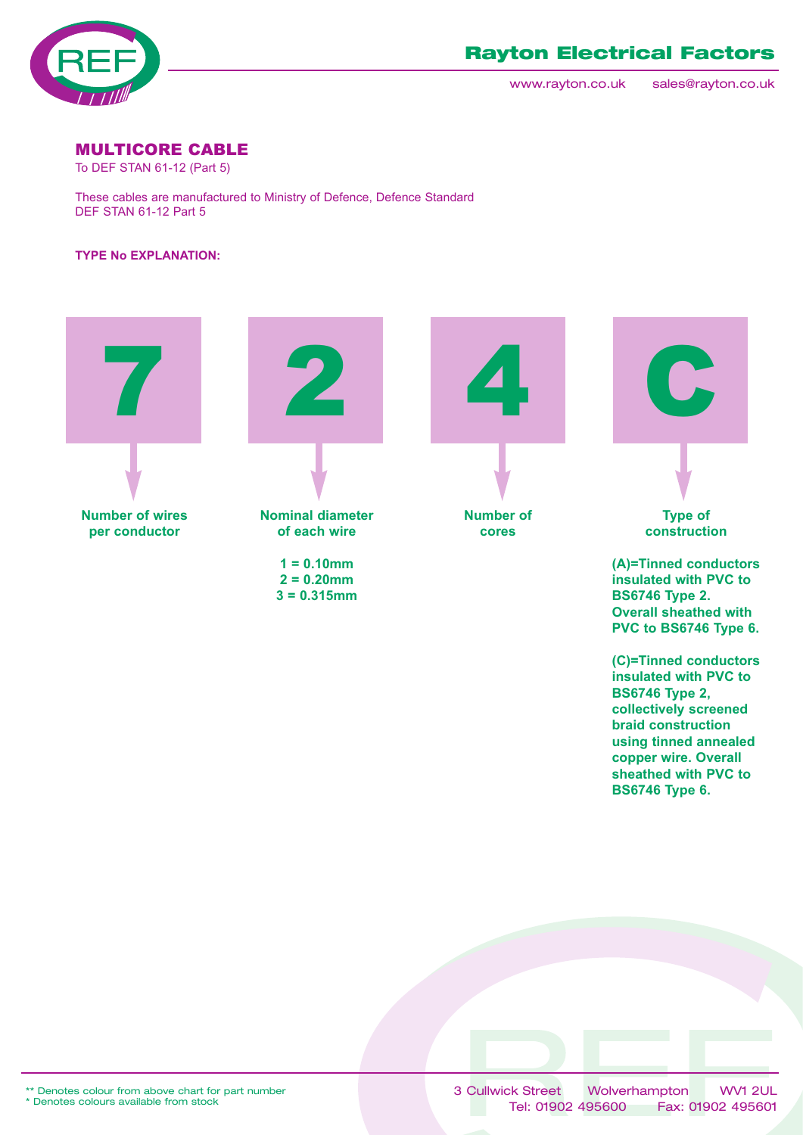

www.rayton.co.uk sales@rayton.co.uk

**(C)=Tinned conductors insulated with PVC to**

**BS6746 Type 2, collectively screened braid construction using tinned annealed copper wire. Overall sheathed with PVC to BS6746 Type 6.**

### MULTICORE CABLE

To DEF STAN 61-12 (Part 5)

These cables are manufactured to Ministry of Defence, Defence Standard DEF STAN 61-12 Part 5

### **TYPE No EXPLANATION:**

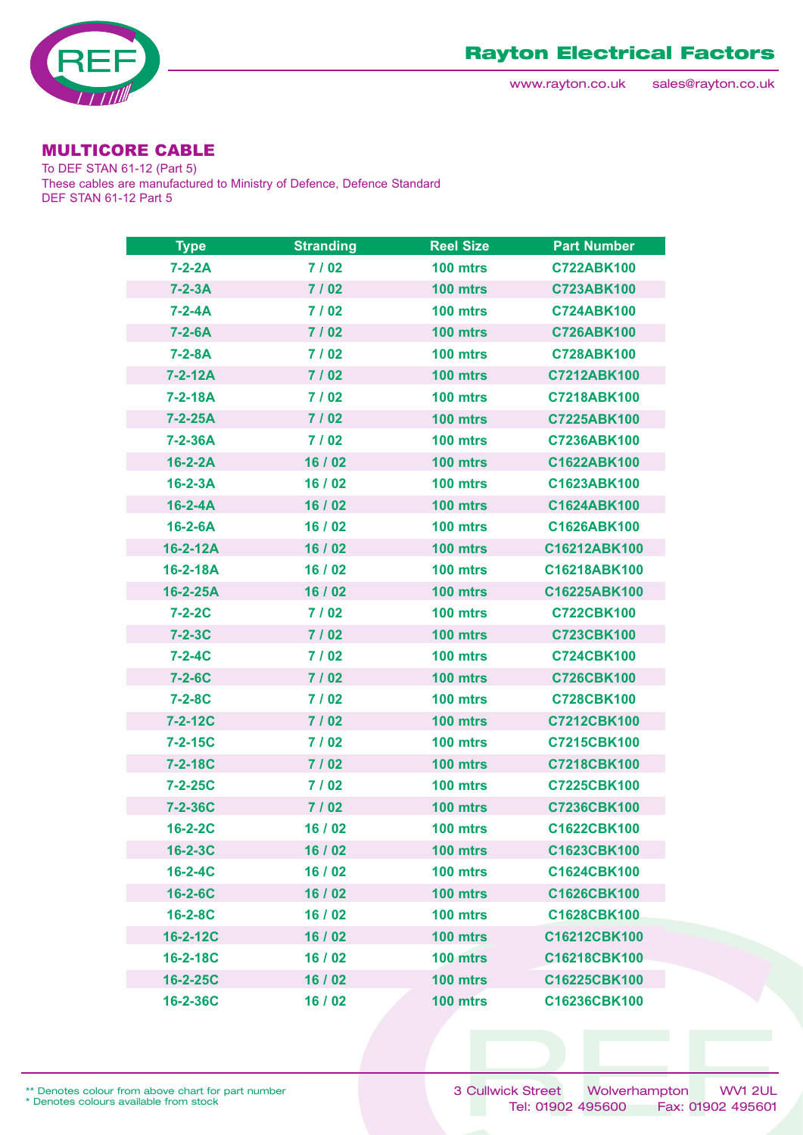

# MULTICORE CABLE

To DEF STAN 61-12 (Part 5) These cables are manufactured to Ministry of Defence, Defence Standard DEF STAN 61-12 Part 5

| <b>Type</b>    | <b>Stranding</b> | <b>Reel Size</b> | <b>Part Number</b> |
|----------------|------------------|------------------|--------------------|
| $7 - 2 - 2A$   | 7/02             | 100 mtrs         | <b>C722ABK100</b>  |
| $7 - 2 - 3A$   | 7/02             | 100 mtrs         | <b>C723ABK100</b>  |
| $7 - 2 - 4A$   | 7/02             | 100 mtrs         | <b>C724ABK100</b>  |
| $7 - 2 - 6A$   | 7/02             | 100 mtrs         | <b>C726ABK100</b>  |
| $7 - 2 - 8A$   | 7/02             | 100 mtrs         | <b>C728ABK100</b>  |
| 7-2-12A        | 7/02             | 100 mtrs         | C7212ABK100        |
| $7 - 2 - 18A$  | 7/02             | 100 mtrs         | <b>C7218ABK100</b> |
| $7 - 2 - 25A$  | 7/02             | 100 mtrs         | C7225ABK100        |
| $7 - 2 - 36A$  | 7 / 02           | 100 mtrs         | C7236ABK100        |
| $16-2-2A$      | 16 / 02          | 100 mtrs         | C1622ABK100        |
| $16-2-3A$      | 16/02            | 100 mtrs         | C1623ABK100        |
| $16 - 2 - 4A$  | 16 / 02          | 100 mtrs         | C1624ABK100        |
| $16 - 2 - 6A$  | 16 / 02          | 100 mtrs         | C1626ABK100        |
| 16-2-12A       | 16 / 02          | 100 mtrs         | C16212ABK100       |
| $16 - 2 - 18A$ | 16/02            | 100 mtrs         | C16218ABK100       |
| $16 - 2 - 25A$ | 16 / 02          | 100 mtrs         | C16225ABK100       |
| $7 - 2 - 2C$   | 7/02             | 100 mtrs         | <b>C722CBK100</b>  |
| $7 - 2 - 3C$   | 7/02             | 100 mtrs         | C723CBK100         |
| $7 - 2 - 4C$   | 7/02             | 100 mtrs         | <b>C724CBK100</b>  |
| $7 - 2 - 6C$   | 7/02             | 100 mtrs         | <b>C726CBK100</b>  |
| $7 - 2 - 8C$   | 7 / 02           | 100 mtrs         | <b>C728CBK100</b>  |
| $7 - 2 - 12C$  | 7/02             | 100 mtrs         | C7212CBK100        |
| $7 - 2 - 15C$  | 7/02             | 100 mtrs         | C7215CBK100        |
| $7 - 2 - 18C$  | 7 / 02           | 100 mtrs         | C7218CBK100        |
| $7 - 2 - 25C$  | 7 / 02           | 100 mtrs         | C7225CBK100        |
| $7 - 2 - 36C$  | 7/02             | 100 mtrs         | C7236CBK100        |
| $16 - 2 - 2C$  | 16/02            | 100 mtrs         | C1622CBK100        |
| $16 - 2 - 3C$  | 16 / 02          | 100 mtrs         | C1623CBK100        |
| $16 - 2 - 4C$  | 16 / 02          | 100 mtrs         | C1624CBK100        |
| 16-2-6C        | 16 / 02          | 100 mtrs         | C1626CBK100        |
| $16 - 2 - 8C$  | 16 / 02          | 100 mtrs         | C1628CBK100        |
| 16-2-12C       | 16 / 02          | 100 mtrs         | C16212CBK100       |
| 16-2-18C       | 16 / 02          | 100 mtrs         | C16218CBK100       |
| 16-2-25C       | 16 / 02          | 100 mtrs         | C16225CBK100       |
| 16-2-36C       | 16 / 02          | 100 mtrs         | C16236CBK100       |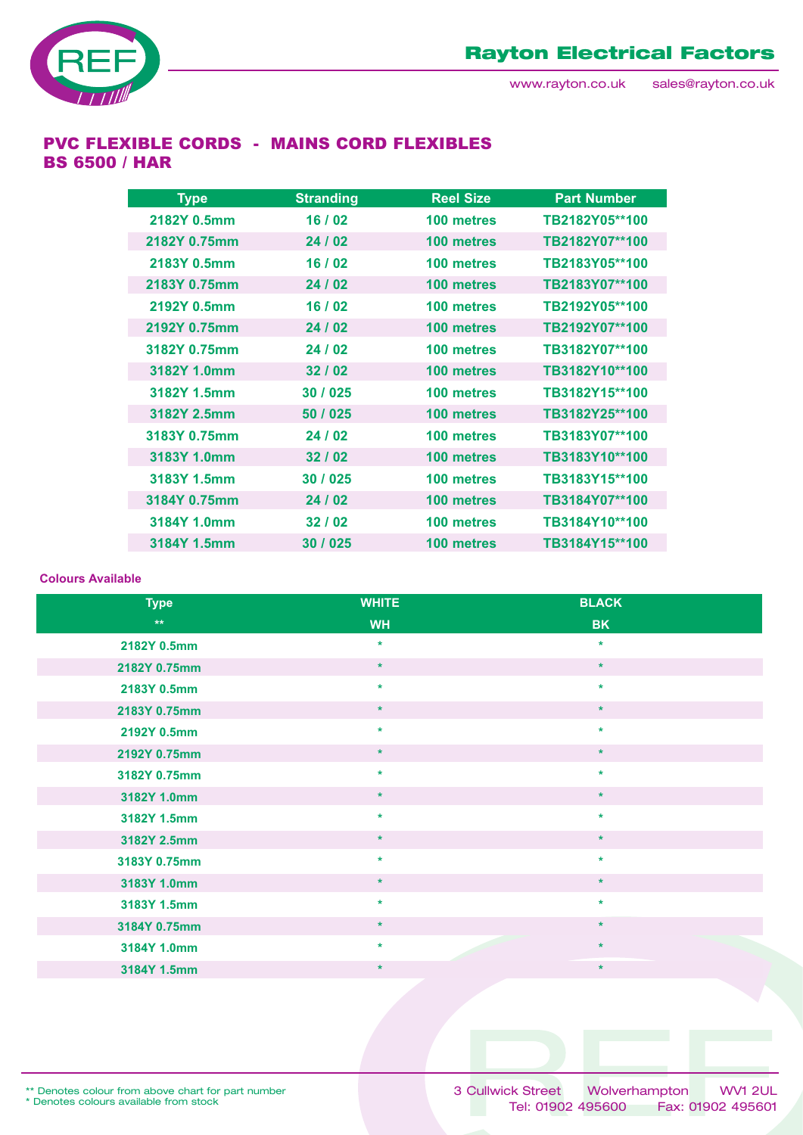

### PVC FLEXIBLE CORDS - MAINS CORD FLEXIBLES BS 6500 / HAR

| <b>Type</b>  | <b>Stranding</b> | <b>Reel Size</b> | <b>Part Number</b> |
|--------------|------------------|------------------|--------------------|
| 2182Y 0.5mm  | 16/02            | 100 metres       | TB2182Y05**100     |
| 2182Y 0.75mm | 24/02            | 100 metres       | TB2182Y07**100     |
| 2183Y 0.5mm  | 16/02            | 100 metres       | TB2183Y05**100     |
| 2183Y 0.75mm | 24/02            | 100 metres       | TB2183Y07**100     |
| 2192Y 0.5mm  | 16/02            | 100 metres       | TB2192Y05**100     |
| 2192Y 0.75mm | 24/02            | 100 metres       | TB2192Y07**100     |
| 3182Y 0.75mm | 24 / 02          | 100 metres       | TB3182Y07**100     |
| 3182Y 1.0mm  | 32/02            | 100 metres       | TB3182Y10**100     |
| 3182Y 1.5mm  | 30 / 025         | 100 metres       | TB3182Y15**100     |
| 3182Y 2.5mm  | 50 / 025         | 100 metres       | TB3182Y25**100     |
| 3183Y 0.75mm | 24/02            | 100 metres       | TB3183Y07**100     |
| 3183Y 1.0mm  | 32/02            | 100 metres       | TB3183Y10**100     |
| 3183Y 1.5mm  | 30 / 025         | 100 metres       | TB3183Y15**100     |
| 3184Y 0.75mm | 24/02            | 100 metres       | TB3184Y07**100     |
| 3184Y 1.0mm  | 32/02            | 100 metres       | TB3184Y10**100     |
| 3184Y 1.5mm  | 30 / 025         | 100 metres       | TB3184Y15**100     |

#### **Colours Available**

| <b>Type</b>  | <b>WHITE</b> | <b>BLACK</b> |
|--------------|--------------|--------------|
| $\star\star$ | <b>WH</b>    | <b>BK</b>    |
| 2182Y 0.5mm  | $\star$      | $\star$      |
| 2182Y 0.75mm | $\star$      | $\star$      |
| 2183Y 0.5mm  | $\star$      | $\star$      |
| 2183Y 0.75mm | $\star$      | $\star$      |
| 2192Y 0.5mm  | $\star$      | $\star$      |
| 2192Y 0.75mm | $\star$      | $\star$      |
| 3182Y 0.75mm | $\star$      | $\star$      |
| 3182Y 1.0mm  | $\star$      | $\star$      |
| 3182Y 1.5mm  | $\star$      | $\star$      |
| 3182Y 2.5mm  | $\star$      | $\star$      |
| 3183Y 0.75mm | $\star$      | $\star$      |
| 3183Y 1.0mm  | $\star$      | $\star$      |
| 3183Y 1.5mm  | $\star$      | $\star$      |
| 3184Y 0.75mm | $\star$      | $\star$      |
| 3184Y 1.0mm  | $\star$      | $\star$      |
| 3184Y 1.5mm  | $\star$      | $\star$      |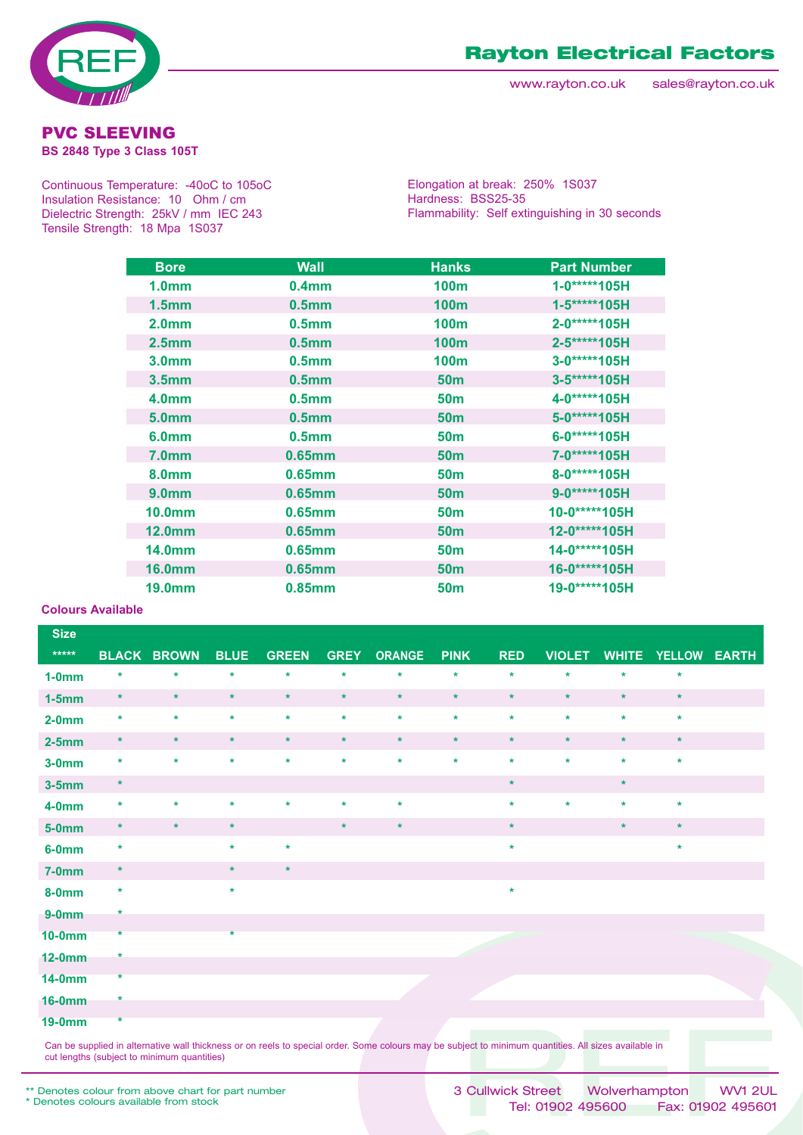



**BS 2848 Type 3 Class 105T** 

Continuous Temperature: -40oC to 105oC Insulation Resistance: 10 Ohm / cm Dielectric Strength: 25kV / mm IEC 243 Tensile Strength: 18 Mpa 1S037

Elongation at break: 250% 1S037 Hardness: BSS25-35 Flammability: Self extinguishing in 30 seconds

| <b>Bore</b>        | <b>Wall</b>       | <b>Hanks</b>     | <b>Part Number</b> |
|--------------------|-------------------|------------------|--------------------|
| 1.0 <sub>mm</sub>  | 0.4 <sub>mm</sub> | 100 <sub>m</sub> | 1-0*****105H       |
| 1.5 <sub>mm</sub>  | 0.5 <sub>mm</sub> | <b>100m</b>      | 1-5*****105H       |
| 2.0 <sub>mm</sub>  | 0.5 <sub>mm</sub> | 100m             | 2-0*****105H       |
| 2.5 <sub>mm</sub>  | 0.5 <sub>mm</sub> | 100 <sub>m</sub> | 2-5*****105H       |
| 3.0 <sub>mm</sub>  | 0.5 <sub>mm</sub> | 100 <sub>m</sub> | 3-0*****105H       |
| 3.5 <sub>mm</sub>  | 0.5 <sub>mm</sub> | 50 <sub>m</sub>  | 3-5*****105H       |
| 4.0 <sub>mm</sub>  | 0.5 <sub>mm</sub> | 50 <sub>m</sub>  | 4-0*****105H       |
| 5.0 <sub>mm</sub>  | 0.5 <sub>mm</sub> | 50 <sub>m</sub>  | 5-0*****105H       |
| 6.0 <sub>mm</sub>  | 0.5 <sub>mm</sub> | <b>50m</b>       | 6-0*****105H       |
| <b>7.0mm</b>       | 0.65mm            | <b>50m</b>       | 7-0*****105H       |
| 8.0 <sub>mm</sub>  | 0.65mm            | 50 <sub>m</sub>  | 8-0*****105H       |
| 9.0 <sub>mm</sub>  | 0.65mm            | <b>50m</b>       | 9-0*****105H       |
| 10.0 <sub>mm</sub> | 0.65mm            | 50 <sub>m</sub>  | 10-0*****105H      |
| 12.0 <sub>mm</sub> | 0.65mm            | 50 <sub>m</sub>  | 12-0*****105H      |
| <b>14.0mm</b>      | $0.65$ mm         | 50 <sub>m</sub>  | 14-0*****105H      |
| <b>16.0mm</b>      | $0.65$ mm         | 50 <sub>m</sub>  | 16-0*****105H      |
| <b>19.0mm</b>      | 0.85mm            | 50 <sub>m</sub>  | 19-0*****105H      |

#### **Colours Available**

| <b>Size</b>   |         |                    |             |              |             |               |             |            |               |              |              |  |
|---------------|---------|--------------------|-------------|--------------|-------------|---------------|-------------|------------|---------------|--------------|--------------|--|
| $*****$       |         | <b>BLACK BROWN</b> | <b>BLUE</b> | <b>GREEN</b> | <b>GREY</b> | <b>ORANGE</b> | <b>PINK</b> | <b>RED</b> | <b>VIOLET</b> | <b>WHITE</b> | YELLOW EARTH |  |
| $1-0mm$       | $\ast$  | ×                  | $\star$     | $\star$      | $\star$     | $\star$       | $\star$     | $\star$    | $\star$       | $\star$      | $\star$      |  |
| $1-5mm$       | $\star$ | $\star$            | $\star$     | $\star$      | $\star$     | $\star$       | $\star$     | $\star$    | $\star$       | $\star$      | $\star$      |  |
| $2-0mm$       | $\star$ | $\star$            | $\star$     | $\star$      | $\star$     | $\star$       | $\star$     | $\star$    | $\star$       | $\star$      | $\star$      |  |
| $2-5mm$       | $\star$ | $\star$            | $\star$     | $\star$      | $\star$     | $\star$       | $\star$     | $\star$    | $\star$       | $\star$      | $\star$      |  |
| $3-0mm$       | $\star$ | $\star$            | $\star$     | $\star$      | $\star$     | $\star$       | $\star$     | $\star$    | $\star$       | $\star$      | $\star$      |  |
| $3-5mm$       | $\star$ |                    |             |              |             |               |             | $\star$    |               | $\star$      |              |  |
| $4-0mm$       | $\star$ | $\star$            | $\star$     | $\star$      | $\star$     | $\star$       |             | $\star$    | $\star$       | $\star$      | $\star$      |  |
| $5-0mm$       | $\star$ | $\star$            | $\star$     |              | $\star$     | $\star$       |             | $\star$    |               | $\star$      | $\star$      |  |
| $6-0mm$       | $\star$ |                    | $\star$     | $\star$      |             |               |             | $\star$    |               |              | $\star$      |  |
| $7-0mm$       | $\star$ |                    | $\star$     | $\star$      |             |               |             |            |               |              |              |  |
| <b>8-0mm</b>  | $\star$ |                    | $\star$     |              |             |               |             | $\star$    |               |              |              |  |
| $9-0mm$       | *       |                    |             |              |             |               |             |            |               |              |              |  |
| <b>10-0mm</b> | $\star$ |                    | $\star$     |              |             |               |             |            |               |              |              |  |
| <b>12-0mm</b> | *       |                    |             |              |             |               |             |            |               |              |              |  |
| <b>14-0mm</b> | $\star$ |                    |             |              |             |               |             |            |               |              |              |  |
| <b>16-0mm</b> | *       |                    |             |              |             |               |             |            |               |              |              |  |
| <b>19-0mm</b> | $\star$ |                    |             |              |             |               |             |            |               |              |              |  |

Can be supplied in alternative wall thickness or on reels to special order. Some colours may be subject to minimum quantities. All sizes available in cut lengths (subject to minimum quantities)